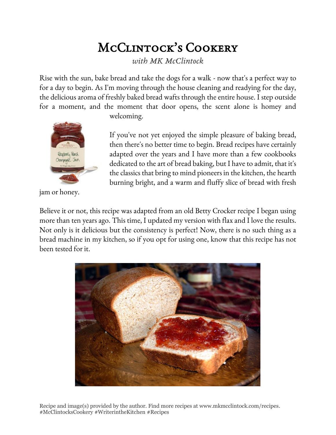## McClintock's Cookery

*with MK McClintock*

Rise with the sun, bake bread and take the dogs for a walk - now that's a perfect way to for a day to begin. As I'm moving through the house cleaning and readying for the day, the delicious aroma of freshly baked bread wafts through the entire house. I step outside for a moment, and the moment that door opens, the scent alone is homey and



jam or honey.

welcoming.

If you've not yet enjoyed the simple pleasure of baking bread, then there's no better time to begin. Bread recipes have certainly adapted over the years and I have more than a few cookbooks dedicated to the art of bread baking, but I have to admit, that it's the classics that bring to mind pioneers in the kitchen, the hearth burning bright, and a warm and fluffy slice of bread with fresh

Believe it or not, this recipe was adapted from an old Betty Crocker recipe I began using more than ten years ago. This time, I updated my version with flax and I love the results. Not only is it delicious but the consistency is perfect! Now, there is no such thing as a bread machine in my kitchen, so if you opt for using one, know that this recipe has not been tested for it.



Recipe and image(s) provided by the author. Find more recipes at www.mkmcclintock.com/recipes. #McClintocksCookery #WriterintheKitchen #Recipes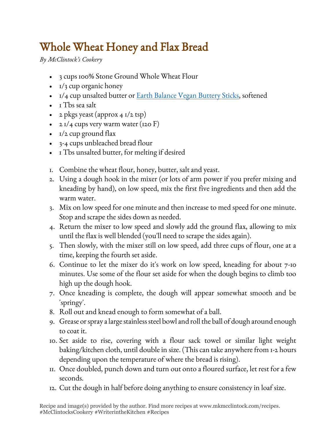## Whole Wheat Honey and Flax Bread

*By McClintock's Cookery*

- 3 cups 100% Stone Ground Whole Wheat Flour
- $1/3$  cup organic honey
- 1/4 cup unsalted butter or [Earth Balance Vegan Buttery Sticks,](http://www.earthbalancenatural.com/#/products/vegan-sticks/) softened
- I Tbs sea salt
- 2 pkgs yeast (approx 4  $1/2$  tsp)
- 2  $1/4$  cups very warm water (120 F)
- $\frac{1}{2}$  cup ground flax
- 3-4 cups unbleached bread flour
- I Tbs unsalted butter, for melting if desired
- 1. Combine the wheat flour, honey, butter, salt and yeast.
- 2. Using a dough hook in the mixer (or lots of arm power if you prefer mixing and kneading by hand), on low speed, mix the first five ingredients and then add the warm water.
- 3. Mix on low speed for one minute and then increase to med speed for one minute. Stop and scrape the sides down as needed.
- 4. Return the mixer to low speed and slowly add the ground flax, allowing to mix until the flax is well blended (you'll need to scrape the sides again).
- 5. Then slowly, with the mixer still on low speed, add three cups of flour, one at a time, keeping the fourth set aside.
- 6. Continue to let the mixer do it's work on low speed, kneading for about 7-10 minutes. Use some of the flour set aside for when the dough begins to climb too high up the dough hook.
- 7. Once kneading is complete, the dough will appear somewhat smooth and be 'springy'.
- 8. Roll out and knead enough to form somewhat of a ball.
- 9. Grease or spray a large stainless steel bowl and roll the ball of dough around enough to coat it.
- 10. Set aside to rise, covering with a flour sack towel or similar light weight baking/kitchen cloth, until double in size. (This can take anywhere from 1-2 hours depending upon the temperature of where the bread is rising).
- 11. Once doubled, punch down and turn out onto a floured surface, let rest for a few seconds.
- 12. Cut the dough in half before doing anything to ensure consistency in loaf size.